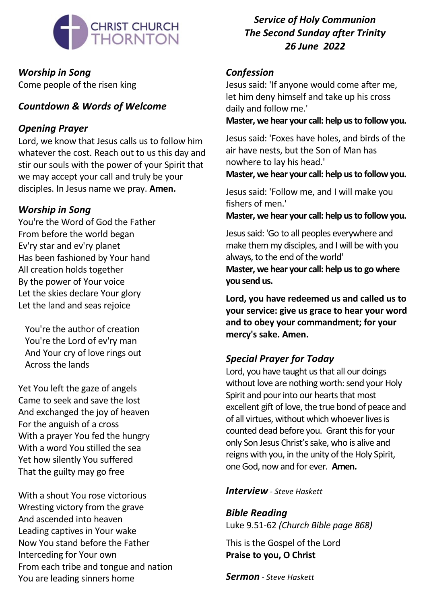

*Worship in Song*

Come people of the risen king

# *Countdown & Words of Welcome*

# *Opening Prayer*

Lord, we know that Jesus calls us to follow him whatever the cost. Reach out to us this day and stir our souls with the power of your Spirit that we may accept your call and truly be your disciples. In Jesus name we pray. **Amen.**

# *Worship in Song*

You're the Word of God the Father From before the world began Ev'ry star and ev'ry planet Has been fashioned by Your hand All creation holds together By the power of Your voice Let the skies declare Your glory Let the land and seas rejoice

 You're the author of creation You're the Lord of ev'ry man And Your cry of love rings out Across the lands

Yet You left the gaze of angels Came to seek and save the lost And exchanged the joy of heaven For the anguish of a cross With a prayer You fed the hungry With a word You stilled the sea Yet how silently You suffered That the guilty may go free

With a shout You rose victorious Wresting victory from the grave And ascended into heaven Leading captives in Your wake Now You stand before the Father Interceding for Your own From each tribe and tongue and nation You are leading sinners home

*Service of Holy Communion The Second Sunday after Trinity 26 June 2022*

### *Confession*

Jesus said: 'If anyone would come after me, let him deny himself and take up his cross daily and follow me.'

#### **Master, we hear your call: help usto followyou.**

Jesus said: 'Foxes have holes, and birds of the air have nests, but the Son of Man has nowhere to lay his head.'

#### **Master, we hear your call: help usto followyou.**

Jesus said: 'Follow me, and I will make you fishers of men.'

**Master, we hear your call: help usto followyou.**

Jesus said: 'Go to all peoples everywhere and make them my disciples, and I will be with you always, to the end of the world' **Master, we hear your call: help usto go where you send us.**

**Lord, you have redeemed us and called us to your service: give us grace to hear your word and to obey your commandment; for your mercy's sake. Amen.**

# *Special Prayer for Today*

Lord, you have taught us that all our doings without love are nothing worth: send your Holy Spirit and pour into our hearts that most excellent gift of love, the true bond of peace and of all virtues, without which whoever lives is counted dead before you. Grant this for your only Son Jesus Christ's sake, who is alive and reigns with you, in the unity of the Holy Spirit, one God, now and for ever. **Amen.**

#### *Interview - Steve Haskett*

*Bible Reading* Luke 9.51-62 *(Church Bible page 868)*

This is the Gospel of the Lord **Praise to you, O Christ**

*Sermon - Steve Haskett*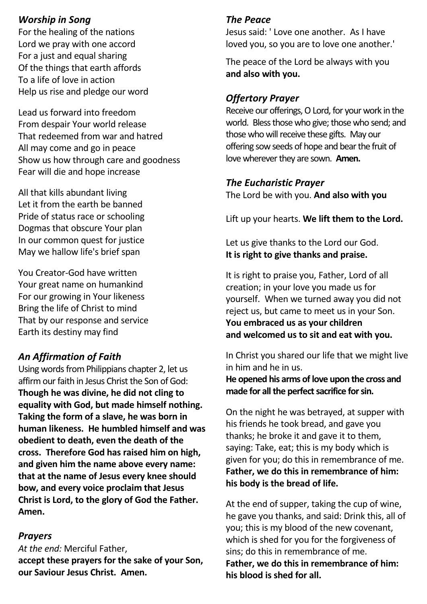### *Worship in Song*

For the healing of the nations Lord we pray with one accord For a just and equal sharing Of the things that earth affords To a life of love in action Help us rise and pledge our word

Lead us forward into freedom From despair Your world release That redeemed from war and hatred All may come and go in peace Show us how through care and goodness Fear will die and hope increase

All that kills abundant living Let it from the earth be banned Pride of status race or schooling Dogmas that obscure Your plan In our common quest for justice May we hallow life's brief span

You Creator-God have written Your great name on humankind For our growing in Your likeness Bring the life of Christ to mind That by our response and service Earth its destiny may find

# *An Affirmation of Faith*

Using words from Philippians chapter 2, let us affirm our faith in Jesus Christ the Son of God: **Though he was divine, he did not cling to equality with God, but made himself nothing. Taking the form of a slave, he was born in human likeness. He humbled himself and was obedient to death, even the death of the cross. Therefore God has raised him on high, and given him the name above every name: that at the name of Jesus every knee should bow, and every voice proclaim that Jesus Christ is Lord, to the glory of God the Father. Amen.**

### *Prayers*

*At the end:* Merciful Father, **accept these prayers for the sake of your Son, our Saviour Jesus Christ. Amen.**

# *The Peace*

Jesus said: ' Love one another. As I have loved you, so you are to love one another.'

The peace of the Lord be always with you **and also with you.**

### *Offertory Prayer*

Receive our offerings, O Lord, for your work in the world. Bless those who give; those who send; and those who will receive these gifts. May our offering sow seeds of hope and bear the fruit of love wherever they are sown. **Amen.** 

# *The Eucharistic Prayer*

The Lord be with you. **And also with you**

Lift up your hearts. **We lift them to the Lord.**

Let us give thanks to the Lord our God. **It is right to give thanks and praise.**

It is right to praise you, Father, Lord of all creation; in your love you made us for yourself. When we turned away you did not reject us, but came to meet us in your Son. **You embraced us as your children and welcomed us to sit and eat with you.**

In Christ you shared our life that we might live in him and he in us.

#### **He opened his arms of love upon the cross and made** for all the perfect sacrifice for sin.

On the night he was betrayed, at supper with his friends he took bread, and gave you thanks; he broke it and gave it to them, saying: Take, eat; this is my body which is given for you; do this in remembrance of me. **Father, we do this in remembrance of him: his body is the bread of life.**

At the end of supper, taking the cup of wine, he gave you thanks, and said: Drink this, all of you; this is my blood of the new covenant, which is shed for you for the forgiveness of sins; do this in remembrance of me. **Father, we do this in remembrance of him: his blood is shed for all.**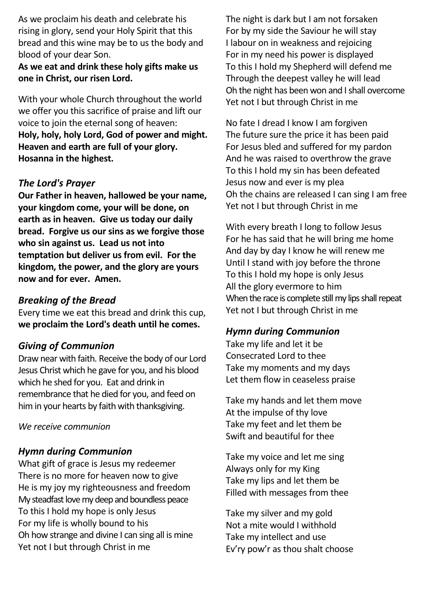As we proclaim his death and celebrate his rising in glory, send your Holy Spirit that this bread and this wine may be to us the body and blood of your dear Son.

#### **As we eat and drink these holy gifts make us one in Christ, our risen Lord.**

With your whole Church throughout the world we offer you this sacrifice of praise and lift our voice to join the eternal song of heaven: **Holy, holy, holy Lord, God of power and might. Heaven and earth are full of your glory. Hosanna in the highest.**

### *The Lord's Prayer*

**Our Father in heaven, hallowed be your name, your kingdom come, your will be done, on earth as in heaven. Give us today our daily bread. Forgive us our sins as we forgive those who sin against us. Lead us not into temptation but deliver us from evil. For the kingdom, the power, and the glory are yours now and for ever. Amen.**

#### *Breaking of the Bread*

Every time we eat this bread and drink this cup, **we proclaim the Lord's death until he comes.**

### *Giving of Communion*

Draw near with faith. Receive the body of our Lord Jesus Christ which he gave for you, and his blood which he shed for you. Eat and drink in remembrance that he died for you, and feed on him in your hearts by faith with thanksgiving.

*We receive communion*

### *Hymn during Communion*

What gift of grace is Jesus my redeemer There is no more for heaven now to give He is my joy my righteousness and freedom My steadfast love my deep and boundless peace To this I hold my hope is only Jesus For my life is wholly bound to his Oh how strange and divine I can sing all is mine Yet not I but through Christ in me

The night is dark but I am not forsaken For by my side the Saviour he will stay I labour on in weakness and rejoicing For in my need his power is displayed To this I hold my Shepherd will defend me Through the deepest valley he will lead Oh the night has been won and I shall overcome Yet not I but through Christ in me

No fate I dread I know I am forgiven The future sure the price it has been paid For Jesus bled and suffered for my pardon And he was raised to overthrow the grave To this I hold my sin has been defeated Jesus now and ever is my plea Oh the chains are released I can sing I am free Yet not I but through Christ in me

With every breath I long to follow Jesus For he has said that he will bring me home And day by day I know he will renew me Until I stand with joy before the throne To this I hold my hope is only Jesus All the glory evermore to him When the race is complete still my lips shall repeat Yet not I but through Christ in me

### *Hymn during Communion*

Take my life and let it be Consecrated Lord to thee Take my moments and my days Let them flow in ceaseless praise

Take my hands and let them move At the impulse of thy love Take my feet and let them be Swift and beautiful for thee

Take my voice and let me sing Always only for my King Take my lips and let them be Filled with messages from thee

Take my silver and my gold Not a mite would I withhold Take my intellect and use Ev'ry pow'r as thou shalt choose